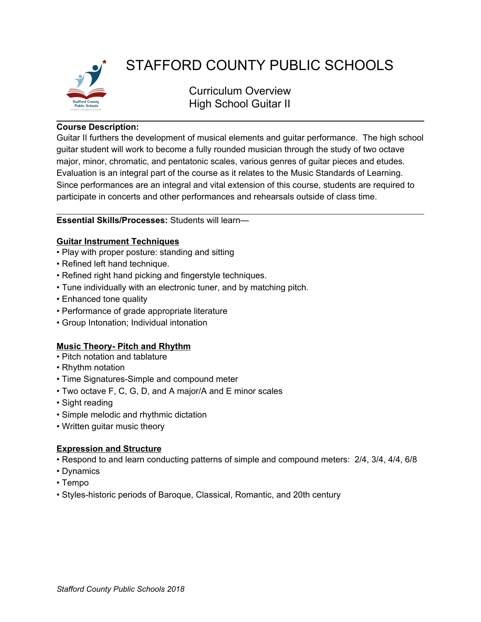

# STAFFORD COUNTY PUBLIC SCHOOLS

Curriculum Overview High School Guitar II

## **Course Description:**

Guitar II furthers the development of musical elements and guitar performance. The high school guitar student will work to become a fully rounded musician through the study of two octave major, minor, chromatic, and pentatonic scales, various genres of guitar pieces and etudes. Evaluation is an integral part of the course as it relates to the Music Standards of Learning. Since performances are an integral and vital extension of this course, students are required to participate in concerts and other performances and rehearsals outside of class time.

## **Essential Skills/Processes:** Students will learn—

## **Guitar Instrument Techniques**

- Play with proper posture: standing and sitting
- Refined left hand technique.
- Refined right hand picking and fingerstyle techniques.
- Tune individually with an electronic tuner, and by matching pitch.
- Enhanced tone quality
- Performance of grade appropriate literature
- Group Intonation; Individual intonation

## **Music Theory- Pitch and Rhythm**

- Pitch notation and tablature
- Rhythm notation
- Time Signatures-Simple and compound meter
- Two octave F, C, G, D, and A major/A and E minor scales
- Sight reading
- Simple melodic and rhythmic dictation
- Written guitar music theory

## **Expression and Structure**

- Respond to and learn conducting patterns of simple and compound meters: 2/4, 3/4, 4/4, 6/8
- Dynamics
- Tempo
- Styles-historic periods of Baroque, Classical, Romantic, and 20th century